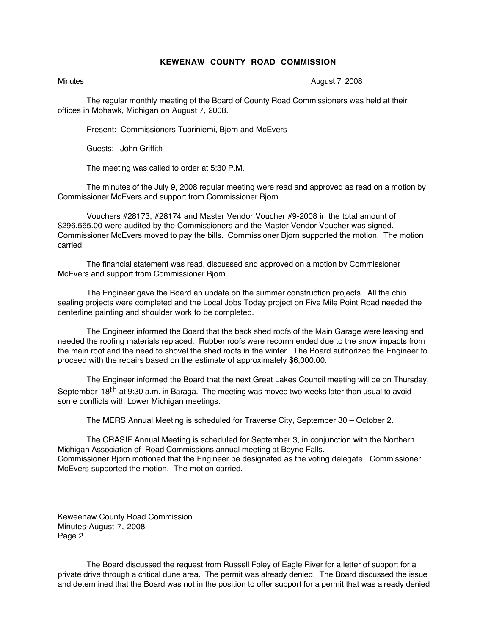## **KEWENAW COUNTY ROAD COMMISSION**

Minutes **August 7, 2008** 

The regular monthly meeting of the Board of County Road Commissioners was held at their offices in Mohawk, Michigan on August 7, 2008.

Present: Commissioners Tuoriniemi, Bjorn and McEvers

Guests: John Griffith

The meeting was called to order at 5:30 P.M.

The minutes of the July 9, 2008 regular meeting were read and approved as read on a motion by Commissioner McEvers and support from Commissioner Bjorn.

Vouchers #28173, #28174 and Master Vendor Voucher #9-2008 in the total amount of \$296,565.00 were audited by the Commissioners and the Master Vendor Voucher was signed. Commissioner McEvers moved to pay the bills. Commissioner Bjorn supported the motion. The motion carried.

The financial statement was read, discussed and approved on a motion by Commissioner McEvers and support from Commissioner Bjorn.

The Engineer gave the Board an update on the summer construction projects. All the chip sealing projects were completed and the Local Jobs Today project on Five Mile Point Road needed the centerline painting and shoulder work to be completed.

The Engineer informed the Board that the back shed roofs of the Main Garage were leaking and needed the roofing materials replaced. Rubber roofs were recommended due to the snow impacts from the main roof and the need to shovel the shed roofs in the winter. The Board authorized the Engineer to proceed with the repairs based on the estimate of approximately \$6,000.00.

The Engineer informed the Board that the next Great Lakes Council meeting will be on Thursday, September 18<sup>th</sup> at 9:30 a.m. in Baraga. The meeting was moved two weeks later than usual to avoid some conflicts with Lower Michigan meetings.

The MERS Annual Meeting is scheduled for Traverse City, September 30 – October 2.

The CRASIF Annual Meeting is scheduled for September 3, in conjunction with the Northern Michigan Association of Road Commissions annual meeting at Boyne Falls. Commissioner Bjorn motioned that the Engineer be designated as the voting delegate. Commissioner McEvers supported the motion. The motion carried.

Keweenaw County Road Commission Minutes-August 7, 2008 Page 2

The Board discussed the request from Russell Foley of Eagle River for a letter of support for a private drive through a critical dune area. The permit was already denied. The Board discussed the issue and determined that the Board was not in the position to offer support for a permit that was already denied